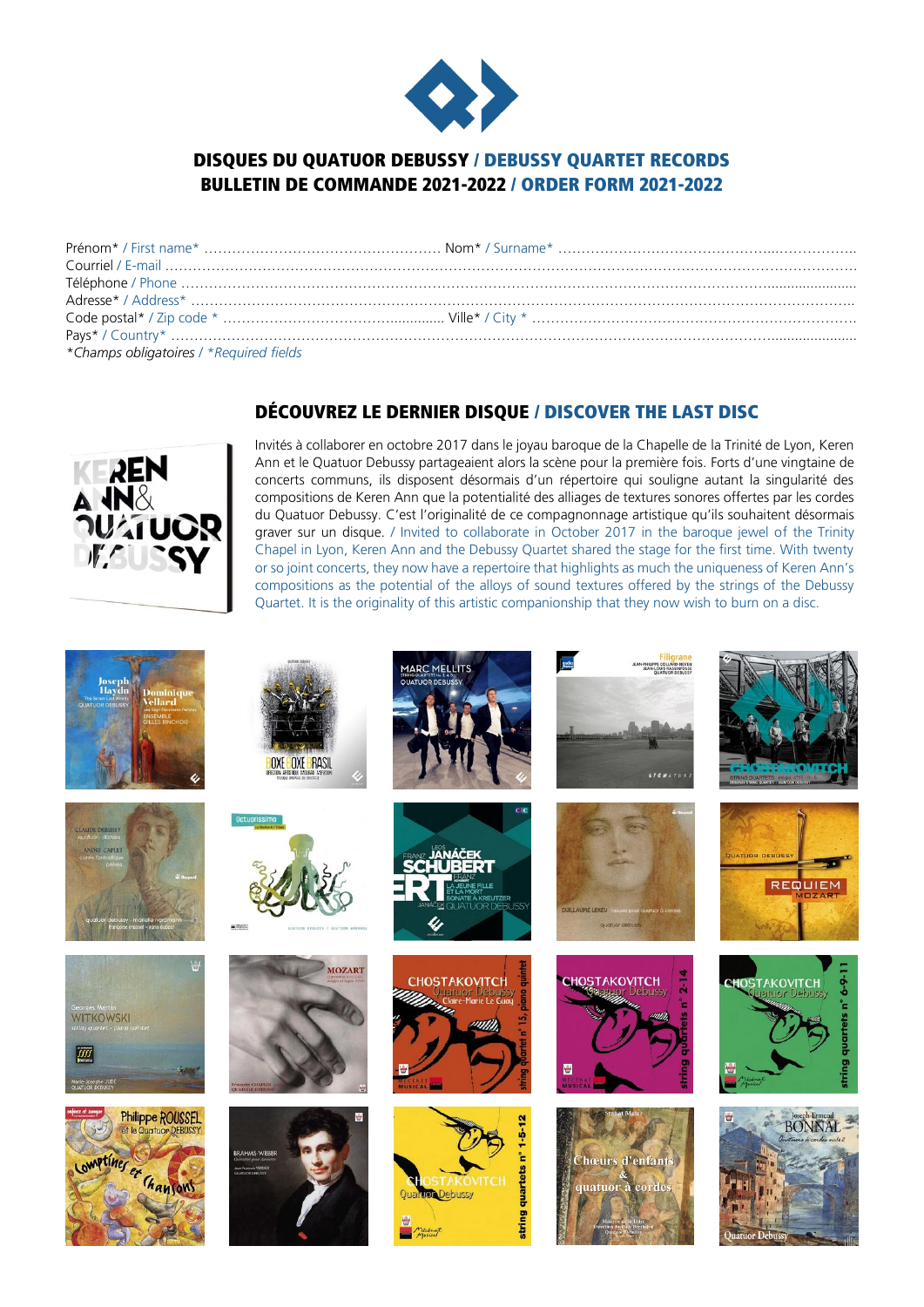

## DISQUES DU QUATUOR DEBUSSY / DEBUSSY QUARTET RECORDS BULLETIN DE COMMANDE 2021-2022 / ORDER FORM 2021-2022

| *Champs obligatoires / *Required fields |  |
|-----------------------------------------|--|

## DÉCOUVREZ LE DERNIER DISQUE / DISCOVER THE LAST DISC



Invités à collaborer en octobre 2017 dans le joyau baroque de la Chapelle de la Trinité de Lyon, Keren Ann et le Quatuor Debussy partageaient alors la scène pour la première fois. Forts d'une vingtaine de concerts communs, ils disposent désormais d'un répertoire qui souligne autant la singularité des compositions de Keren Ann que la potentialité des alliages de textures sonores offertes par les cordes du Quatuor Debussy. C'est l'originalité de ce compagnonnage artistique qu'ils souhaitent désormais graver sur un disque. / Invited to collaborate in October 2017 in the baroque jewel of the Trinity Chapel in Lyon, Keren Ann and the Debussy Quartet shared the stage for the first time. With twenty or so joint concerts, they now have a repertoire that highlights as much the uniqueness of Keren Ann's compositions as the potential of the alloys of sound textures offered by the strings of the Debussy Quartet. It is the originality of this artistic companionship that they now wish to burn on a disc.